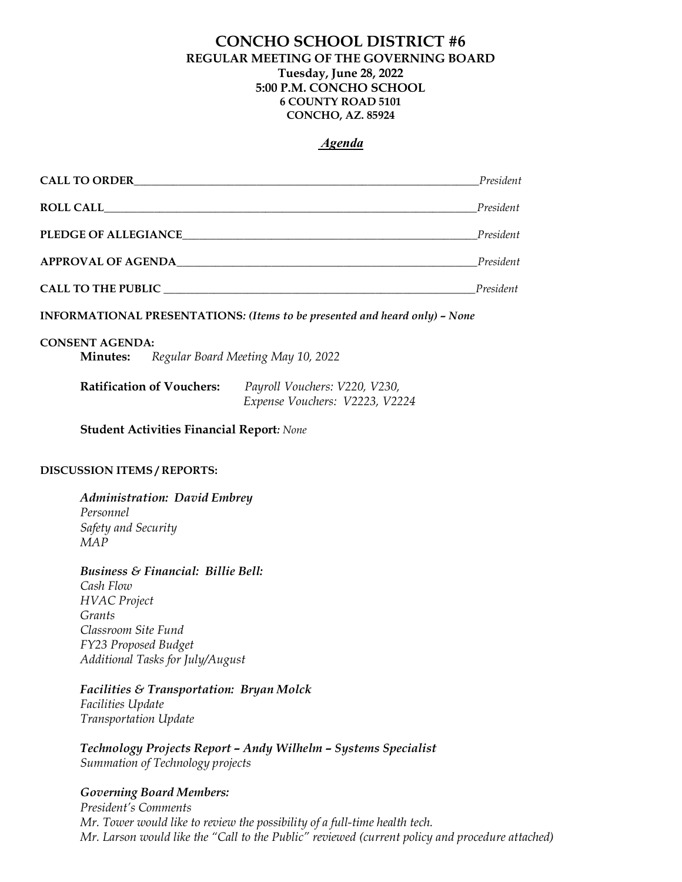# CONCHO SCHOOL DISTRICT #6 REGULAR MEETING OF THE GOVERNING BOARD Tuesday, June 28, 2022 5:00 P.M. CONCHO SCHOOL 6 COUNTY ROAD 5101 CONCHO, AZ. 85924

## Agenda

| <b>CALL TO ORDER</b>        | President |
|-----------------------------|-----------|
| <b>ROLL CALL</b>            | President |
| <b>PLEDGE OF ALLEGIANCE</b> | President |
| <b>APPROVAL OF AGENDA</b>   | President |
| <b>CALL TO THE PUBLIC</b>   | President |

INFORMATIONAL PRESENTATIONS: (Items to be presented and heard only) – None

#### CONSENT AGENDA:

Minutes: Regular Board Meeting May 10, 2022

| <b>Ratification of Vouchers:</b> | Payroll Vouchers: V220, V230,  |
|----------------------------------|--------------------------------|
|                                  | Expense Vouchers: V2223, V2224 |

Student Activities Financial Report: None

#### DISCUSSION ITEMS / REPORTS:

Administration: David Embrey Personnel Safety and Security MAP

Business & Financial: Billie Bell: Cash Flow HVAC Project Grants Classroom Site Fund FY23 Proposed Budget Additional Tasks for July/August

# Facilities & Transportation: Bryan Molck

Facilities Update Transportation Update

Technology Projects Report – Andy Wilhelm – Systems Specialist Summation of Technology projects

## Governing Board Members:

President's Comments Mr. Tower would like to review the possibility of a full-time health tech. Mr. Larson would like the "Call to the Public" reviewed (current policy and procedure attached)